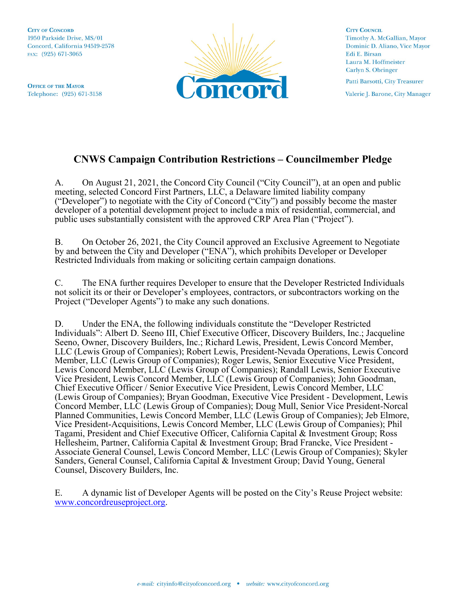**CITY OF CONCORD** 1950 Parkside Drive, MS/01 Concord, California 94519-2578 FAX: (925) 671-3065

**OFFICE OF THE MAYOR** Telephone: (925) 671-3158



**CITY COUNCIL** Timothy A. McGallian, Mayor Dominic D. Aliano, Vice Mayor Edi E. Birsan Laura M. Hoffmeister Carlyn S. Obringer Patti Barsotti, City Treasurer

Valerie J. Barone, City Manager

## **CNWS Campaign Contribution Restrictions – Councilmember Pledge**

A. On August 21, 2021, the Concord City Council ("City Council"), at an open and public meeting, selected Concord First Partners, LLC, a Delaware limited liability company ("Developer") to negotiate with the City of Concord ("City") and possibly become the master developer of a potential development project to include a mix of residential, commercial, and public uses substantially consistent with the approved CRP Area Plan ("Project").

B. On October 26, 2021, the City Council approved an Exclusive Agreement to Negotiate by and between the City and Developer ("ENA"), which prohibits Developer or Developer Restricted Individuals from making or soliciting certain campaign donations.

C. The ENA further requires Developer to ensure that the Developer Restricted Individuals not solicit its or their or Developer's employees, contractors, or subcontractors working on the Project ("Developer Agents") to make any such donations.

D. Under the ENA, the following individuals constitute the "Developer Restricted Individuals": Albert D. Seeno III, Chief Executive Officer, Discovery Builders, Inc.; Jacqueline Seeno, Owner, Discovery Builders, Inc.; Richard Lewis, President, Lewis Concord Member, LLC (Lewis Group of Companies); Robert Lewis, President-Nevada Operations, Lewis Concord Member, LLC (Lewis Group of Companies); Roger Lewis, Senior Executive Vice President, Lewis Concord Member, LLC (Lewis Group of Companies); Randall Lewis, Senior Executive Vice President, Lewis Concord Member, LLC (Lewis Group of Companies); John Goodman, Chief Executive Officer / Senior Executive Vice President, Lewis Concord Member, LLC (Lewis Group of Companies); Bryan Goodman, Executive Vice President - Development, Lewis Concord Member, LLC (Lewis Group of Companies); Doug Mull, Senior Vice President-Norcal Planned Communities, Lewis Concord Member, LLC (Lewis Group of Companies); Jeb Elmore, Vice President-Acquisitions, Lewis Concord Member, LLC (Lewis Group of Companies); Phil Tagami, President and Chief Executive Officer, California Capital & Investment Group; Ross Hellesheim, Partner, California Capital & Investment Group; Brad Francke, Vice President - Associate General Counsel, Lewis Concord Member, LLC (Lewis Group of Companies); Skyler Sanders, General Counsel, California Capital & Investment Group; David Young, General Counsel, Discovery Builders, Inc.

E. A dynamic list of Developer Agents will be posted on the City's Reuse Project website: [www.concordreuseproject.org.](http://www.concordreuseproject.org/)